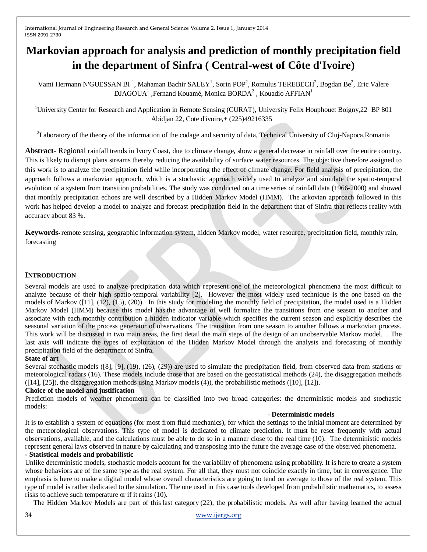# **Markovian approach for analysis and prediction of monthly precipitation field in the department of Sinfra ( Central-west of Côte d'Ivoire)**

Vami Hermann N'GUESSAN BI<sup>1</sup>, Mahaman Bachir SALEY<sup>1</sup>, Sorin POP<sup>2</sup>, Romulus TEREBECH<sup>2</sup>, Bogdan Be<sup>2</sup>, Eric Valere DJAGOUA<sup>1</sup>, Fernand Kouamé, Monica BORDA<sup>2</sup>, Kouadio AFFIAN<sup>1</sup>

<sup>1</sup>University Center for Research and Application in Remote Sensing (CURAT), University Felix Houphouet Boigny,22 BP 801 Abidjan 22, Cote d'ivoire,+ (225)49216335

<sup>2</sup>Laboratory of the theory of the information of the codage and security of data, Technical University of Cluj-Napoca,Romania

**Abstract**- Regional rainfall trends in Ivory Coast, due to climate change, show a general decrease in rainfall over the entire country. This is likely to disrupt plans streams thereby reducing the availability of surface water resources. The objective therefore assigned to this work is to analyze the precipitation field while incorporating the effect of climate change. For field analysis of precipitation, the approach follows a markovian approach, which is a stochastic approach widely used to analyze and simulate the spatio-temporal evolution of a system from transition probabilities. The study was conducted on a time series of rainfall data (1966-2000) and showed that monthly precipitation echoes are well described by a Hidden Markov Model (HMM). The arkovian approach followed in this work has helped develop a model to analyze and forecast precipitation field in the department that of Sinfra that reflects reality with accuracy about 83 %.

**Keywords**- remote sensing, geographic information system, hidden Markov model, water resource, precipitation field, monthly rain, forecasting

## **INTRODUCTION**

Several models are used to analyze precipitation data which represent one of the meteorological phenomena the most difficult to analyze because of their high spatio-temporal variability [2]. However the most widely used technique is the one based on the models of Markov ([11], (12), (15), (20)). In this study for modeling the monthly field of precipitation, the model used is a Hidden Markov Model (HMM) because this model has the advantage of well formalize the transitions from one season to another and associate with each monthly contribution a hidden indicator variable which specifies the current season and explicitly describes the seasonal variation of the process generator of observations. The transition from one season to another follows a markovian process. This work will be discussed in two main areas, the first detail the main steps of the design of an unobservable Markov model. . The last axis will indicate the types of exploitation of the Hidden Markov Model through the analysis and forecasting of monthly precipitation field of the department of Sinfra.

## **State of art**

Several stochastic models ([8], [9], (19), (26), (29)) are used to simulate the precipitation field, from observed data from stations or meteorological radars (16). These models include those that are based on the geostatistical methods (24), the disaggregation methods  $(141, 251)$ , the disaggregation methods using Markov models (4)), the probabilistic methods ( $[101, 121]$ ).

## **Choice of the model and justification**

Prediction models of weather phenomena can be classified into two broad categories: the deterministic models and stochastic models:

#### - **Deterministic models**

It is to establish a system of equations (for most from fluid mechanics), for which the settings to the initial moment are determined by the meteorological observations. This type of model is dedicated to climate prediction. It must be reset frequently with actual observations, available, and the calculations must be able to do so in a manner close to the real time (10). The deterministic models represent general laws observed in nature by calculating and transposing into the future the average case of the observed phenomena.

#### **- Statistical models and probabilistic**

Unlike deterministic models, stochastic models account for the variability of phenomena using probability. It is here to create a system whose behaviors are of the same type as the real system. For all that, they must not coincide exactly in time, but in convergence. The emphasis is here to make a digital model whose overall characteristics are going to tend on average to those of the real system. This type of model is rather dedicated to the simulation. The one used in this case tools developed from probabilistic mathematics, to assess risks to achieve such temperature or if it rains (10).

The Hidden Markov Models are part of this last category (22), the probabilistic models. As well after having learned the actual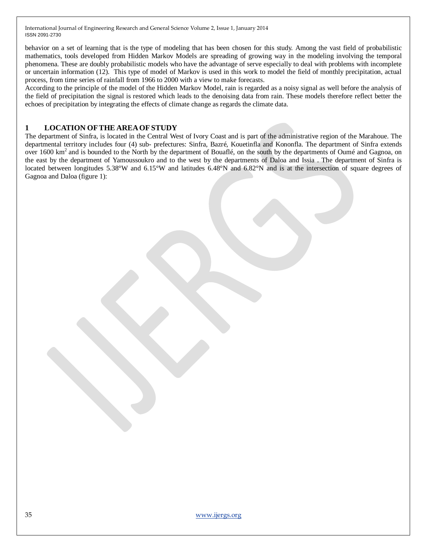behavior on a set of learning that is the type of modeling that has been chosen for this study. Among the vast field of probabilistic mathematics, tools developed from Hidden Markov Models are spreading of growing way in the modeling involving the temporal phenomena. These are doubly probabilistic models who have the advantage of serve especially to deal with problems with incomplete or uncertain information (12). This type of model of Markov is used in this work to model the field of monthly precipitation, actual process, from time series of rainfall from 1966 to 2000 with a view to make forecasts.

According to the principle of the model of the Hidden Markov Model, rain is regarded as a noisy signal as well before the analysis of the field of precipitation the signal is restored which leads to the denoising data from rain. These models therefore reflect better the echoes of precipitation by integrating the effects of climate change as regards the climate data.

# **1 LOCATION OFTHE AREAOFSTUDY**

The department of Sinfra, is located in the Central West of Ivory Coast and is part of the administrative region of the Marahoue. The departmental territory includes four (4) sub- prefectures: Sinfra, Bazré, Kouetinfla and Kononfla. The department of Sinfra extends over 1600 km<sup>2</sup> and is bounded to the North by the department of Bouaflé, on the south by the departments of Oumé and Gagnoa, on the east by the department of Yamoussoukro and to the west by the departments of Daloa and Issia . The department of Sinfra is located between longitudes 5.38°W and 6.15°W and latitudes 6.48°N and 6.82°N and is at the intersection of square degrees of Gagnoa and Daloa (figure 1):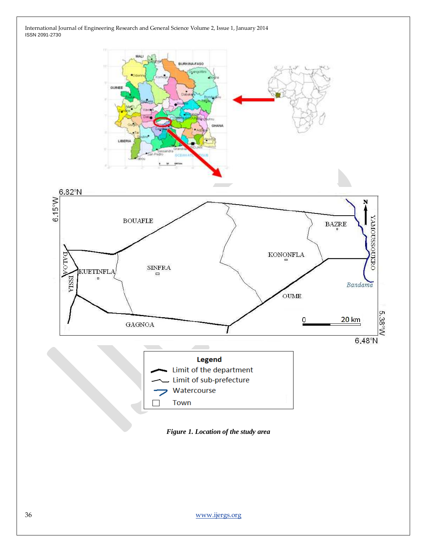

*Figure 1. Location of the study area*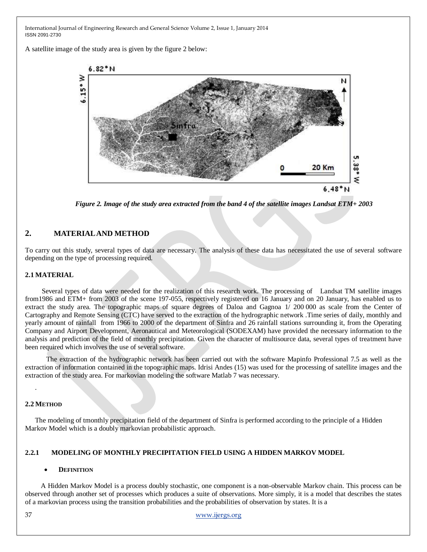A satellite image of the study area is given by the figure 2 below:



 *Figure 2. Image of the study area extracted from the band 4 of the satellite images Landsat ETM+ 2003*

# **2. MATERIALAND METHOD**

To carry out this study, several types of data are necessary. The analysis of these data has necessitated the use of several software depending on the type of processing required.

## **2.1 MATERIAL**

 Several types of data were needed for the realization of this research work. The processing of Landsat TM satellite images from1986 and ETM+ from 2003 of the scene 197-055, respectively registered on 16 January and on 20 January, has enabled us to extract the study area. The topographic maps of square degrees of Daloa and Gagnoa 1/ 200 000 as scale from the Center of Cartography and Remote Sensing (CTC) have served to the extraction of the hydrographic network .Time series of daily, monthly and yearly amount of rainfall from 1966 to 2000 of the department of Sinfra and 26 rainfall stations surrounding it, from the Operating Company and Airport Development, Aeronautical and Meteorological (SODEXAM) have provided the necessary information to the analysis and prediction of the field of monthly precipitation. Given the character of multisource data, several types of treatment have been required which involves the use of several software.

 The extraction of the hydrographic network has been carried out with the software Mapinfo Professional 7.5 as well as the extraction of information contained in the topographic maps. Idrisi Andes (15) was used for the processing of satellite images and the extraction of the study area. For markovian modeling the software Matlab 7 was necessary.

#### **2.2 METHOD**

.

The modeling of tmonthly precipitation field of the department of Sinfra is performed according to the principle of a Hidden Markov Model which is a doubly markovian probabilistic approach.

#### **2.2.1 MODELING OF MONTHLY PRECIPITATION FIELD USING A HIDDEN MARKOV MODEL**

#### **DEFINITION**

 A Hidden Markov Model is a process doubly stochastic, one component is a non-observable Markov chain. This process can be observed through another set of processes which produces a suite of observations. More simply, it is a model that describes the states of a markovian process using the transition probabilities and the probabilities of observation by states. It is a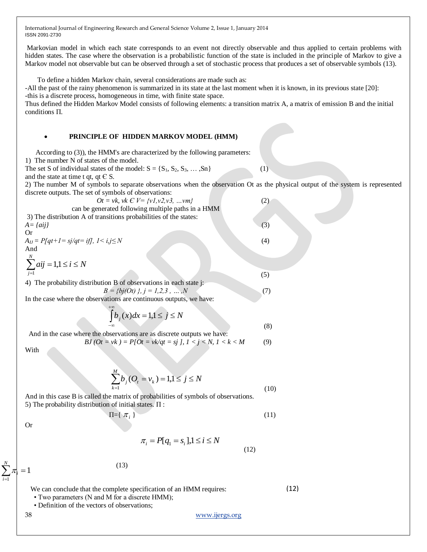Markovian model in which each state corresponds to an event not directly observable and thus applied to certain problems with hidden states. The case where the observation is a probabilistic function of the state is included in the principle of Markov to give a Markov model not observable but can be observed through a set of stochastic process that produces a set of observable symbols (13).

To define a hidden Markov chain, several considerations are made such as:

-All the past of the rainy phenomenon is summarized in its state at the last moment when it is known, in its previous state [20]: -this is a discrete process, homogeneous in time, with finite state space.

Thus defined the Hidden Markov Model consists of following elements: a transition matrix A, a matrix of emission B and the initial conditions Π.

#### **PRINCIPLE OF HIDDEN MARKOV MODEL (HMM)**

 According to (3)), the HMM's are characterized by the following parameters: 1) The number N of states of the model.

The set S of individual states of the model:  $S = \{S_1, S_2, S_3, \dots, S_n\}$  (1) and the state at time t qt, qt  $\in$  S.

2) The number M of symbols to separate observations when the observation Ot as the physical output of the system is represented discrete outputs. The set of symbols of observations:

\n
$$
Ot = vk, vk \, C \, V = \{v1, v2, v3, \ldots \, vn\}
$$
\n (2)\n can be generated following multiple paths in a HMM\n

\n\n 3) The distribution A of transitions probabilities of the states:\n

\n\n A = {aij}\n

\n\n Or\n

\n\n A<sub>1J</sub> = P{qt+1 = sj/qt = ifJ, 1 < i,j ≤ N\n

\n\n And\n

\n\n
$$
\sum_{j=1}^{N} aij = 1, 1 \leq i \leq N
$$
\n

\n\n 4) The probability distribution B of observations in each state\n

\n\n (5)\n

\n\n 4) The probability distribution B of observations in each state\n

\n\n (7)\n

In the case where the observations are continuous outputs, we have:

$$
\int_{-\infty}^{+\infty} b_j(x)dx = 1, 1 \le j \le N
$$
\n(8)

And in the case where the observations are as discrete outputs we have:

$$
BJ(Ot = vk) = P[Ot = vk/qt = sj], 1 < j < N, 1 < k < M
$$
 (9)

With

*j*

$$
\sum_{k=1}^{M} b_j (O_t = v_k) = 1, 1 \le j \le N
$$
\n(10)

And in this case B is called the matrix of probabilities of symbols of observations. 5) The probability distribution of initial states. Π :

$$
\Pi = \{ \pi_i \} \tag{11}
$$

Or

 $=1$  $\sum_{i=1}^{n} \pi$ <sub>i</sub> = *N*

*i i*

$$
\pi_i = P[q_1 = s_i], 1 \le i \le N
$$
\n<sup>(12)</sup>

(13)

We can conclude that the complete specification of an HMM requires:

• Two parameters (N and M for a discrete HMM);

• Definition of the vectors of observations;

38 [www.ijergs.org](http://www.ijergs.org/)

(12)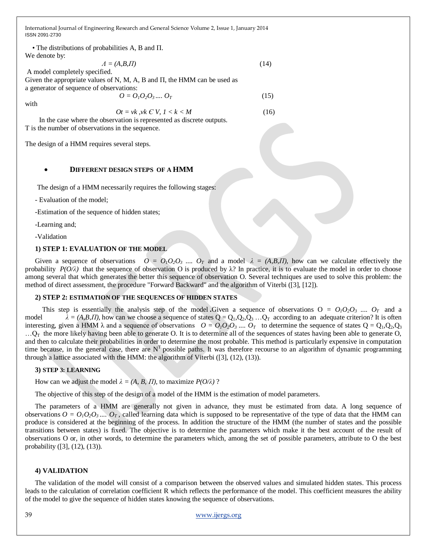• The distributions of probabilities A, B and Π. We denote by:

$$
A = (A, B, \Pi) \tag{14}
$$

A model completely specified. Given the appropriate values of N, M, A, B and Π, the HMM can be used as a generator of sequence of observations:  $Q = Q_1 Q_2 Q_3 ... Q_T$  (15)

with

 $Dt = vk, vk \in V, l < k < M$  (16)

 In the case where the observation is represented as discrete outputs. T is the number of observations in the sequence.

The design of a HMM requires several steps.

## **DIFFERENT DESIGN STEPS OF A HMM**

The design of a HMM necessarily requires the following stages:

- Evaluation of the model;

-Estimation of the sequence of hidden states;

-Learning and;

-Validation

## **1) STEP 1: EVALUATION OF THE MODEL**

Given a sequence of observations  $\hat{O} = O_1O_2O_3$  ....  $O_T$  and a model  $\lambda = (A, B, \Pi)$ , how can we calculate effectively the probability  $P(O/\lambda)$  that the sequence of observation O is produced by  $\lambda$ ? In practice, it is to evaluate the model in order to choose among several that which generates the better this sequence of observation O. Several techniques are used to solve this problem: the method of direct assessment, the procedure "Forward Backward" and the algorithm of Viterbi ([3], [12]).

#### **2) STEP 2: ESTIMATION OF THE SEQUENCES OF HIDDEN STATES**

This step is essentially the analysis step of the model Given a sequence of observations  $O = O_1O_2O_3$  ....  $O_T$  and a model  $\lambda = (A, B, \Pi)$ , how can we choose a sequence of states  $Q = Q_1, Q_2, Q_3 \dots Q_T$  according to an adequate criterion? It is often interesting, given a HMM  $\lambda$  and a sequence of observations  $O = O_1O_2O_3$  ....  $O_T$  to determine the sequence of states  $Q = Q_1, Q_2, Q_3$  $\ldots$ Q<sub>T</sub> the more likely having been able to generate O. It is to determine all of the sequences of states having been able to generate O, and then to calculate their probabilities in order to determine the most probable. This method is particularly expensive in computation time because, in the general case, there are  $N<sup>T</sup>$  possible paths. It was therefore recourse to an algorithm of dynamic programming through a lattice associated with the HMM: the algorithm of Viterbi ([3], (12), (13)).

#### **3) STEP 3: LEARNING**

How can we adjust the model  $\lambda = (A, B, \Pi)$ , to maximize  $P(O/\lambda)$ ?

The objective of this step of the design of a model of the HMM is the estimation of model parameters.

The parameters of a HMM are generally not given in advance, they must be estimated from data. A long sequence of observations  $O = O_1O_2O_3$ ....  $O_T$ , called learning data which is supposed to be representative of the type of data that the HMM can produce is considered at the beginning of the process. In addition the structure of the HMM (the number of states and the possible transitions between states) is fixed. The objective is to determine the parameters which make it the best account of the result of observations O or, in other words, to determine the parameters which, among the set of possible parameters, attribute to O the best probability ([3], (12), (13)).

#### **4) VALIDATION**

The validation of the model will consist of a comparison between the observed values and simulated hidden states. This process leads to the calculation of correlation coefficient R which reflects the performance of the model. This coefficient measures the ability of the model to give the sequence of hidden states knowing the sequence of observations.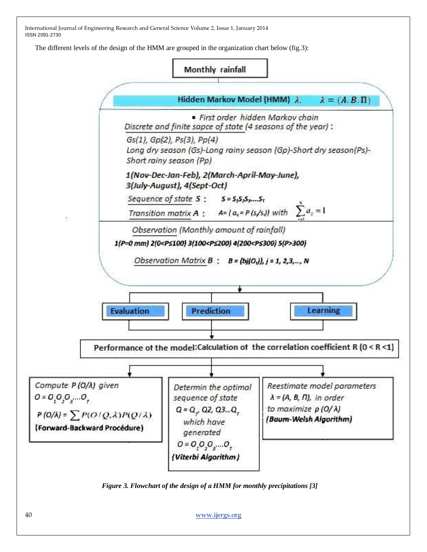The different levels of the design of the HMM are grouped in the organization chart below (fig.3):





 *Figure 3. Flowchart of the design of a HMM for monthly precipitations [3]*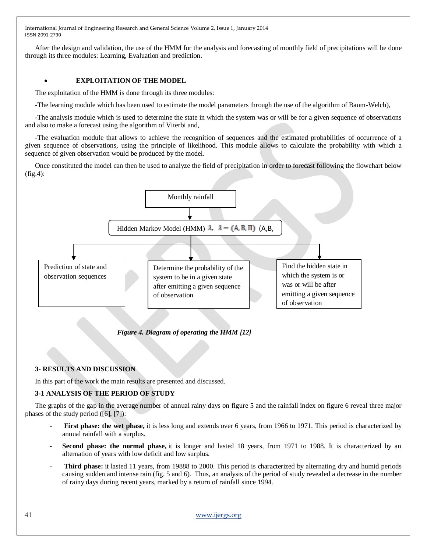After the design and validation, the use of the HMM for the analysis and forecasting of monthly field of precipitations will be done through its three modules: Learning, Evaluation and prediction.

## **EXPLOITATION OF THE MODEL**

The exploitation of the HMM is done through its three modules:

-The learning module which has been used to estimate the model parameters through the use of the algorithm of Baum-Welch),

-The analysis module which is used to determine the state in which the system was or will be for a given sequence of observations and also to make a forecast using the algorithm of Viterbi and,

-The evaluation module that allows to achieve the recognition of sequences and the estimated probabilities of occurrence of a given sequence of observations, using the principle of likelihood. This module allows to calculate the probability with which a sequence of given observation would be produced by the model.

Once constituted the model can then be used to analyze the field of precipitation in order to forecast following the flowchart below (fig.4):



 *Figure 4. Diagram of operating the HMM [12]*

## **3- RESULTS AND DISCUSSION**

In this part of the work the main results are presented and discussed.

#### **3-1 ANALYSIS OF THE PERIOD OF STUDY**

The graphs of the gap in the average number of annual rainy days on figure 5 and the rainfall index on figure 6 reveal three major phases of the study period ([6], [7]):

- First phase: the wet phase, it is less long and extends over 6 years, from 1966 to 1971. This period is characterized by annual rainfall with a surplus.
- **Second phase: the normal phase,** it is longer and lasted 18 years, from 1971 to 1988. It is characterized by an alternation of years with low deficit and low surplus.
- **Third phase:** it lasted 11 years, from 19888 to 2000. This period is characterized by alternating dry and humid periods causing sudden and intense rain (fig. 5 and 6). Thus, an analysis of the period of study revealed a decrease in the number of rainy days during recent years, marked by a return of rainfall since 1994.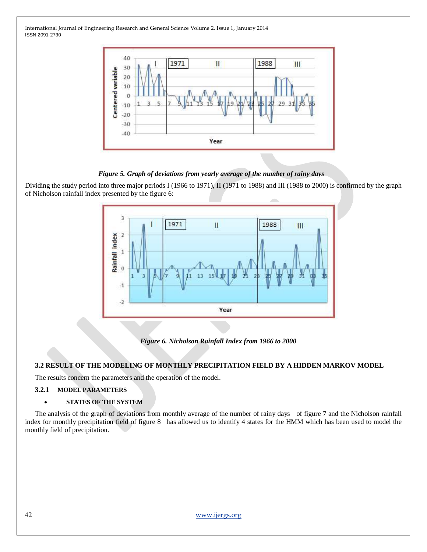

 *Figure 5. Graph of deviations from yearly average of the number of rainy days*

Dividing the study period into three major periods I (1966 to 1971), II (1971 to 1988) and III (1988 to 2000) is confirmed by the graph of Nicholson rainfall index presented by the figure 6:



*Figure 6. Nicholson Rainfall Index from 1966 to 2000*

# **3.2 RESULT OF THE MODELING OF MONTHLY PRECIPITATION FIELD BY A HIDDEN MARKOV MODEL**

The results concern the parameters and the operation of the model.

# **3.2.1 MODEL PARAMETERS**

## **STATES OF THE SYSTEM**

The analysis of the graph of deviations from monthly average of the number of rainy days of figure 7 and the Nicholson rainfall index for monthly precipitation field of figure 8 has allowed us to identify 4 states for the HMM which has been used to model the monthly field of precipitation.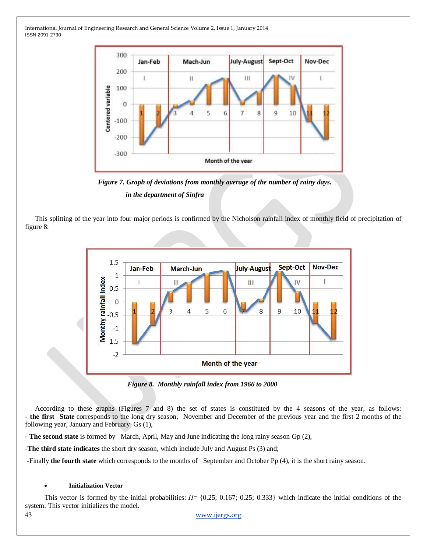

 *Figure 7. Graph of deviations from monthly average of the number of rainy days. in the department of Sinfra*

This splitting of the year into four major periods is confirmed by the Nicholson rainfall index of monthly field of precipitation of figure 8:



 *Figure 8. Monthly rainfall index from 1966 to 2000*

According to these graphs (Figures 7 and 8) the set of states is constituted by the 4 seasons of the year, as follows: - **the first State** corresponds to the long dry season, November and December of the previous year and the first 2 months of the following year, January and February Gs (1),

- **The second state** is formed by March, April, May and June indicating the long rainy season Gp (2),

-**The third state indicates** the short dry season, which include July and August Ps (3) and;

-Finally **the fourth state** which corresponds to the months of September and October Pp (4), it is the short rainy season.

## **Initialization Vector**

 This vector is formed by the initial probabilities: *Π=* {0.25; 0.167; 0.25; 0.333} which indicate the initial conditions of the system. This vector initializes the model.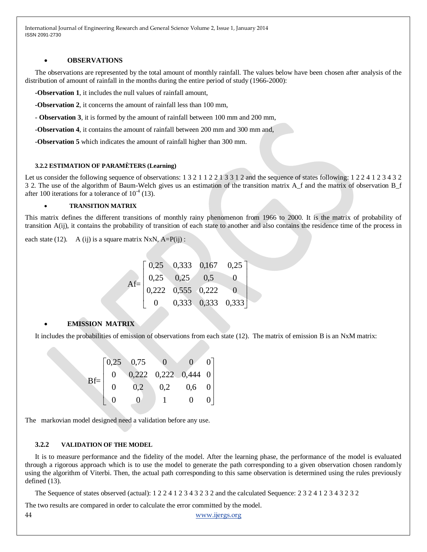#### **OBSERVATIONS**

The observations are represented by the total amount of monthly rainfall. The values below have been chosen after analysis of the distribution of amount of rainfall in the months during the entire period of study (1966-2000):

**-Observation 1**, it includes the null values of rainfall amount,

**-Observation 2**, it concerns the amount of rainfall less than 100 mm,

- **Observation 3**, it is formed by the amount of rainfall between 100 mm and 200 mm,

-**Observation 4**, it contains the amount of rainfall between 200 mm and 300 mm and,

-**Observation 5** which indicates the amount of rainfall higher than 300 mm.

## **3.2.2 ESTIMATION OF PARAMЀTERS (Learning)**

Let us consider the following sequence of observations: 1 3 2 1 1 2 2 1 3 3 1 2 and the sequence of states following: 1 2 2 4 1 2 3 4 3 2 3 2. The use of the algorithm of Baum-Welch gives us an estimation of the transition matrix A\_f and the matrix of observation B\_f after 100 iterations for a tolerance of  $10^{-4}$  (13).

## **TRANSITION MATRIX**

This matrix defines the different transitions of monthly rainy phenomenon from 1966 to 2000. It is the matrix of probability of transition A(ij), it contains the probability of transition of each state to another and also contains the residence time of the process in

each state (12). A (ij) is a square matrix NxN,  $A=P(i)$ :

$$
Af = \begin{bmatrix} 0,25 & 0,333 & 0,167 & 0,25 \\ 0,25 & 0,25 & 0,5 & 0 \\ 0,222 & 0,555 & 0,222 & 0 \\ 0 & 0,333 & 0,333 & 0,333 \end{bmatrix}
$$

# **EMISSION MATRIX**

It includes the probabilities of emission of observations from each state (12). The matrix of emission B is an NxM matrix:

|       |                                                                                                                     | $\bigcirc$ |         |  |
|-------|---------------------------------------------------------------------------------------------------------------------|------------|---------|--|
| $Bf=$ | $\begin{bmatrix} 0.25 & 0.75 & 0 & 0 & 0 \\ 0 & 0.222 & 0.222 & 0.444 & 0 \\ 0 & 0.2 & 0.2 & 0.6 & 0 \end{bmatrix}$ |            |         |  |
|       |                                                                                                                     | 0,2        | $0,6$ 0 |  |
|       |                                                                                                                     |            |         |  |

The markovian model designed need a validation before any use.

## **3.2.2 VALIDATION OF THE MODEL**

It is to measure performance and the fidelity of the model. After the learning phase, the performance of the model is evaluated through a rigorous approach which is to use the model to generate the path corresponding to a given observation chosen randomly using the algorithm of Viterbi. Then, the actual path corresponding to this same observation is determined using the rules previously defined (13).

The Sequence of states observed (actual): 1 2 2 4 1 2 3 4 3 2 3 2 and the calculated Sequence: 2 3 2 4 1 2 3 4 3 2 3 2

The two results are compared in order to calculate the error committed by the model.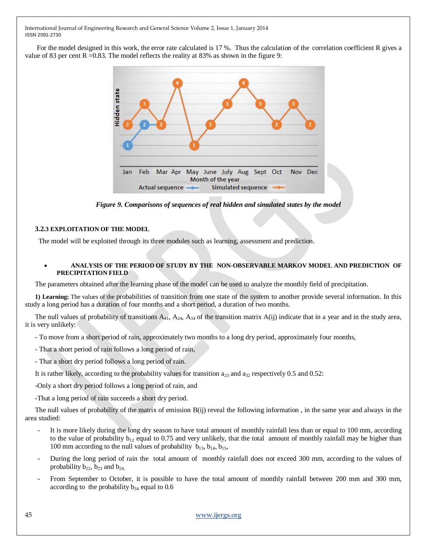For the model designed in this work, the error rate calculated is 17 %. Thus the calculation of the correlation coefficient R gives a value of 83 per cent  $R = 0.83$ . The model reflects the reality at 83% as shown in the figure 9:



*Figure 9. Comparisons of sequences of real hidden and simulated states by the model*

# **3.2.3 EXPLOITATION OF THE MODEL**

The model will be exploited through its three modules such as learning, assessment and prediction.

## **ANALYSIS OF THE PERIOD OF STUDY BY THE NON-OBSERVABLE MARKOV MODEL AND PREDICTION OF PRECIPITATION FIELD**

The parameters obtained after the learning phase of the model can be used to analyze the monthly field of precipitation.

**1) Learning:** The values of the probabilities of transition from one state of the system to another provide several information. In this study a long period has a duration of four months and a short period, a duration of two months.

The null values of probability of transitions  $A_{41}$ ,  $A_{24}$ ,  $A_{34}$  of the transition matrix  $A(i)$  indicate that in a year and in the study area, it is very unlikely:

- To move from a short period of rain, approximately two months to a long dry period, approximately four months,

- That a short period of rain follows a long period of rain,

- That a short dry period follows a long period of rain.

It is rather likely, according to the probability values for transition  $a_{23}$  and  $a_{32}$  respectively 0.5 and 0.52:

-Only a short dry period follows a long period of rain, and

-That a long period of rain succeeds a short dry period.

The null values of probability of the matrix of emission B(ij) reveal the following information , in the same year and always in the area studied:

- It is more likely during the long dry season to have total amount of monthly rainfall less than or equal to 100 mm, according to the value of probability  $b_{12}$  equal to 0.75 and very unlikely, that the total amount of monthly rainfall may be higher than 100 mm according to the null values of probability  $b_{13}$ ,  $b_{14}$ ,  $b_{15}$ ,
- During the long period of rain the total amount of monthly rainfall does not exceed 300 mm, according to the values of probability  $b_{22}$ ,  $b_{23}$  and  $b_{24}$ .
- From September to October, it is possible to have the total amount of monthly rainfall between 200 mm and 300 mm, according to the probability  $b_{34}$  equal to 0.6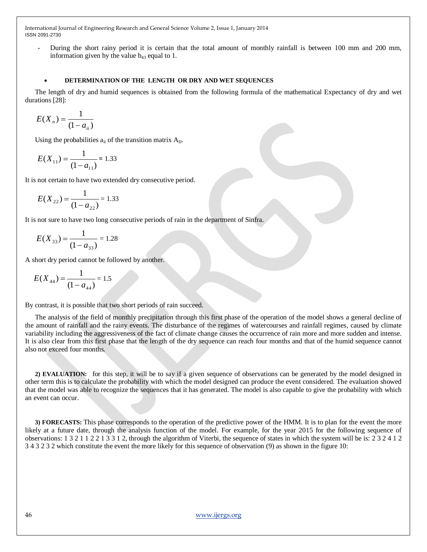- During the short rainy period it is certain that the total amount of monthly rainfall is between 100 mm and 200 mm, information given by the value  $b_{43}$  equal to 1.

#### **DETERMINATION OF THE LENGTH OR DRY AND WET SEQUENCES**

The length of dry and humid sequences is obtained from the following formula of the mathematical Expectancy of dry and wet durations [28]:

$$
E(X_n) = \frac{1}{(1 - a_{ii})}
$$

Using the probabilities  $a_{ii}$  of the transition matrix  $A_{II}$ .

$$
E(X_{11}) = \frac{1}{(1 - a_{11})} = 1.33
$$

It is not certain to have two extended dry consecutive period.

$$
E(X_{22}) = \frac{1}{(1 - a_{22})} = 1.33
$$

It is not sure to have two long consecutive periods of rain in the department of Sinfra.

$$
E(X_{33}) = \frac{1}{(1 - a_{33})} = 1.28
$$

A short dry period cannot be followed by another.

$$
E(X_{44}) = \frac{1}{(1 - a_{44})} = 1.5
$$

By contrast, it is possible that two short periods of rain succeed.

The analysis of the field of monthly precipitation through this first phase of the operation of the model shows a general decline of the amount of rainfall and the rainy events. The disturbance of the regimes of watercourses and rainfall regimes, caused by climate variability including the aggressiveness of the fact of climate change causes the occurrence of rain more and more sudden and intense. It is also clear from this first phase that the length of the dry sequence can reach four months and that of the humid sequence cannot also not exceed four months.

**2) EVALUATION:** for this step, it will be to say if a given sequence of observations can be generated by the model designed in other term this is to calculate the probability with which the model designed can produce the event considered. The evaluation showed that the model was able to recognize the sequences that it has generated. The model is also capable to give the probability with which an event can occur.

**3) FORECASTS:** This phase corresponds to the operation of the predictive power of the HMM. It is to plan for the event the more likely at a future date, through the analysis function of the model. For example, for the year 2015 for the following sequence of observations: 1 3 2 1 1 2 2 1 3 3 1 2, through the algorithm of Viterbi, the sequence of states in which the system will be is: 2 3 2 4 1 2 3 4 3 2 3 2 which constitute the event the more likely for this sequence of observation (9) as shown in the figure 10: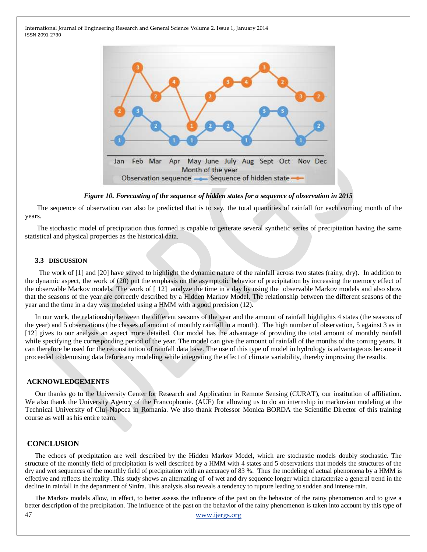

*Figure 10. Forecasting of the sequence of hidden states for a sequence of observation in 2015*

The sequence of observation can also be predicted that is to say, the total quantities of rainfall for each coming month of the years.

The stochastic model of precipitation thus formed is capable to generate several synthetic series of precipitation having the same statistical and physical properties as the historical data.

## **3.3 DISCUSSION**

The work of [1] and [20] have served to highlight the dynamic nature of the rainfall across two states (rainy, dry). In addition to the dynamic aspect, the work of (20) put the emphasis on the asymptotic behavior of precipitation by increasing the memory effect of the observable Markov models. The work of [ 12] analyze the time in a day by using the observable Markov models and also show that the seasons of the year are correctly described by a Hidden Markov Model. The relationship between the different seasons of the year and the time in a day was modeled using a HMM with a good precision (12).

In our work, the relationship between the different seasons of the year and the amount of rainfall highlights 4 states (the seasons of the year) and 5 observations (the classes of amount of monthly rainfall in a month). The high number of observation, 5 against 3 as in [12] gives to our analysis an aspect more detailed. Our model has the advantage of providing the total amount of monthly rainfall while specifying the corresponding period of the year. The model can give the amount of rainfall of the months of the coming years. It can therefore be used for the reconstitution of rainfall data base. The use of this type of model in hydrology is advantageous because it proceeded to denoising data before any modeling while integrating the effect of climate variability, thereby improving the results.

## **ACKNOWLEDGEMENTS**

Our thanks go to the University Center for Research and Application in Remote Sensing (CURAT), our institution of affiliation. We also thank the University Agency of the Francophonie. (AUF) for allowing us to do an internship in markovian modeling at the Technical University of Cluj-Napoca in Romania. We also thank Professor Monica BORDA the Scientific Director of this training course as well as his entire team.

## **CONCLUSION**

The echoes of precipitation are well described by the Hidden Markov Model, which are stochastic models doubly stochastic. The structure of the monthly field of precipitation is well described by a HMM with 4 states and 5 observations that models the structures of the dry and wet sequences of the monthly field of precipitation with an accuracy of 83 %. Thus the modeling of actual phenomena by a HMM is effective and reflects the reality .This study shows an alternating of of wet and dry sequence longer which characterize a general trend in the decline in rainfall in the department of Sinfra. This analysis also reveals a tendency to rupture leading to sudden and intense rain.

The Markov models allow, in effect, to better assess the influence of the past on the behavior of the rainy phenomenon and to give a better description of the precipitation. The influence of the past on the behavior of the rainy phenomenon is taken into account by this type of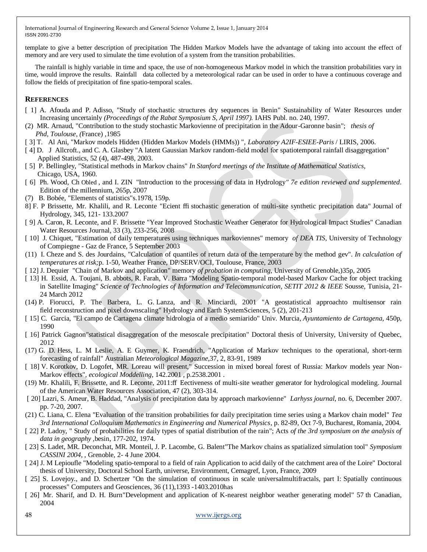template to give a better description of precipitation The Hidden Markov Models have the advantage of taking into account the effect of memory and are very used to simulate the time evolution of a system from the transition probabilities.

The rainfall is highly variable in time and space, the use of non-homogeneous Markov model in which the transition probabilities vary in time, would improve the results. Rainfall data collected by a meteorological radar can be used in order to have a continuous coverage and follow the fields of precipitation of fine spatio-temporal scales.

## **REFERENCES**

- [1] A. Afouda and P. Adisso, "Study of stochastic structures dry sequences in Benin" Sustainability of Water Resources under Increasing uncertainly *(Proceedings of the Rabat Symposium S, April 1997).* IAHS Publ. no. 240, 1997.
- (2) MR. Arnaud, "Contribution to the study stochastic Markovienne of precipitation in the Adour-Garonne basin"; *thesis of Phd, Toulouse, (*France) ,1985
- [ 3] T. Al Ani, "Markov models Hidden (Hidden Markov Models (HMMs)) ", *Laboratory A2IF-ESIEE-Paris* / LIRIS, 2006.
- [ 4] D. J Allcroft., and C. A. Glasbey "A latent Gaussian Markov random-field model for spatiotemporal rainfall disaggregation" Applied Statistics, 52 (4), 487-498, 2003.
- [ 5] P. Bellingley, "Statistical methods in Markov chains" *In Stanford meetings of the Institute of Mathematical Statistics*, Chicago, USA, 1960.
- [ 6] Ph. Wood, Ch Obled , and I. ZIN "Introduction to the processing of data in Hydrology*" 7e edition reviewed and supplemented*. Edition of the millennium, 265p, 2007
- (7) B. Bobée, "Elements of statistics"s.1978, 159p.
- 8] F. P Brissette, Mr. Khalili, and R. Leconte "Ecient ffi stochastic generation of multi-site synthetic precipitation data" Journal of Hydrology, 345, 121- 133.2007
- [ 9] A. Caron, R. Leconte, and F. Brissette "Year Improved Stochastic Weather Generator for Hydrological Impact Studies" Canadian Water Resources Journal, 33 (3), 233-256, 2008
- [ 10] J. Chiquet, "Estimation of daily temperatures using techniques markoviennes" memory *of DEA TIS*, University of Technology of Compiegne - Gaz de France, 5 September 2003
- (11) I. Cheze and S. des Jourdains, "Calculation of quantiles of return data of the temperature by the method gev". *In calculation of temperatures at risk;*p. 1-50, Weather France, DP/SERV/OCI, Toulouse, France, 2003
- [ 12] J. Dequier "Chain of Markov and application" memory *of probation in computing*, University of Grenoble,)35p, 2005
- [ 13] H. Essid, A. Toujani, B. abbots, R. Farah, V. Barra "Modeling Spatio-temporal model-based Markov Cache for object tracking in Satellite Imaging" *Science of Technologies of Information and Telecommunication, SETIT 2012 & IEEE* Sousse, Tunisia, 21- 24 March 2012
- (14) P. Fiorucci, P. The Barbera, L. G. Lanza, and R. Minciardi, 2001 "A geostatistical approachto multisensor rain field reconstruction and pixel downscaling" Hydrology and Earth SystemSciences, 5 (2), 201-213
- [ 15] C. Garcia, "El campo de Cartagena climate hidrologia of a medio semiarido" Univ. Murcia, *Ayuntamiento de Cartagena*, 450p, 1990
- [ 16] Patrick Gagnon" statistical disaggregation of the mesoscale precipitation" Doctoral thesis of University, University of Quebec, 2012
- (17) G. D. Hess, L. M Leslie, A. E Guymer, K. Fraendrich, "Application of Markov techniques to the operational, short-term forecasting of rainfall" Australian *Meteorological Magazine,*37, 2, 83-91, 1989
- [ 18] V. Korotkov, D. Logofet, MR. Loreau will present," Succession in mixed boreal forest of Russia: Markov models year Non-Markov effects"*, ecological Moddelling*, 142.2001 , p.2538.2001 .
- (19) Mr. Khalili, F. Brissette, and R. Leconte, 2011:ff Eectiveness of multi-site weather generator for hydrological modeling. Journal of the American Water Resources Association, 47 (2), 303-314.
- [ 20] Lazri, S. Ameur, B. Haddad, "Analysis of precipitation data by approach markovienne" *Larhyss journal*, no. 6, December 2007. pp. 7-20, 2007.
- (21) C. Liana, C. Elena "Evaluation of the transition probabilities for daily precipitation time series using a Markov chain model" *Tea 3rd International Colloquium Mathematics in Engineering and Numerical Physics*, p. 82-89, Oct 7-9, Bucharest, Romania, 2004.
- [ 22] P. Ladoy, " Study of probabilities for daily types of spatial distribution of the rain"; Acts *of the 3rd symposium on the analysis of data in geography ,*besin, 177-202, 1974.
- [ 23] S. Ladet, MR. Deconchat, MR. Monteil, J. P. Lacombe, G. Balent"The Markov chains as spatialized simulation tool" *Symposium CASSINI 2004*, , Grenoble, 2- 4 June 2004.
- [ 24] J. M Lepioufle "Modeling spatio-temporal to a field of rain Application to acid daily of the catchment area of the Loire" Doctoral thesis of University, Doctoral School Earth, universe, Environment, Cemagref, Lyon, France, 2009
- [ 25] S. Lovejoy., and D. Schertzer "On the simulation of continuous in scale universalmultifractals, part I: Spatially continuous processes" Computers and Geosciences, 36 (11),1393 -1403.2010has
- [ 26] Mr. Sharif, and D. H. Burn"Development and application of K-nearest neighbor weather generating model" 57 th Canadian, 2004